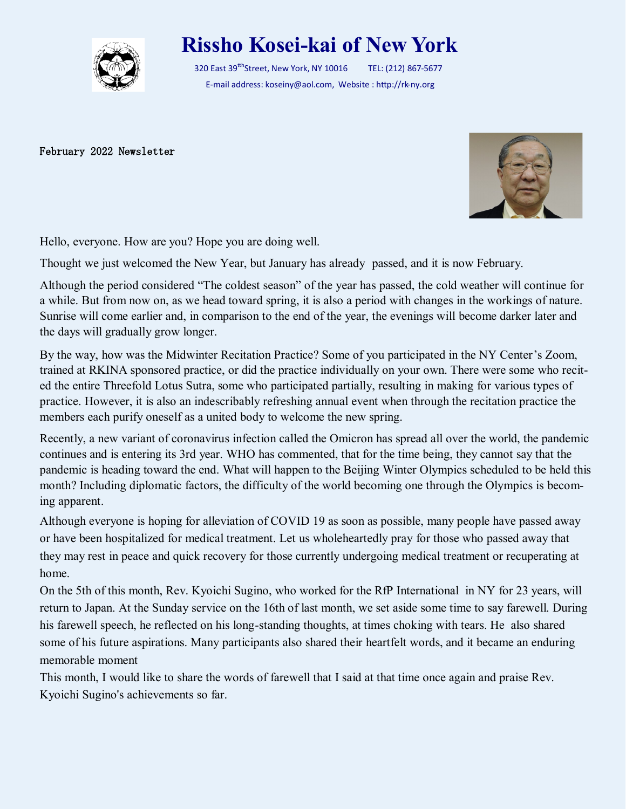

## **Rissho Kosei-kai of New York**

320 East 39<sup>tth</sup>Street, New York, NY 10016 TEL: (212) 867-5677 E-mail address: koseiny@aol.com, Website : http://rk-ny.org

February 2022 Newsletter



Hello, everyone. How are you? Hope you are doing well.

Thought we just welcomed the New Year, but January has already passed, and it is now February.

Although the period considered "The coldest season" of the year has passed, the cold weather will continue for a while. But from now on, as we head toward spring, it is also a period with changes in the workings of nature. Sunrise will come earlier and, in comparison to the end of the year, the evenings will become darker later and the days will gradually grow longer.

By the way, how was the Midwinter Recitation Practice? Some of you participated in the NY Center's Zoom, trained at RKINA sponsored practice, or did the practice individually on your own. There were some who recited the entire Threefold Lotus Sutra, some who participated partially, resulting in making for various types of practice. However, it is also an indescribably refreshing annual event when through the recitation practice the members each purify oneself as a united body to welcome the new spring.

Recently, a new variant of coronavirus infection called the Omicron has spread all over the world, the pandemic continues and is entering its 3rd year. WHO has commented, that for the time being, they cannot say that the pandemic is heading toward the end. What will happen to the Beijing Winter Olympics scheduled to be held this month? Including diplomatic factors, the difficulty of the world becoming one through the Olympics is becoming apparent.

Although everyone is hoping for alleviation of COVID 19 as soon as possible, many people have passed away or have been hospitalized for medical treatment. Let us wholeheartedly pray for those who passed away that they may rest in peace and quick recovery for those currently undergoing medical treatment or recuperating at home.

On the 5th of this month, Rev. Kyoichi Sugino, who worked for the RfP International in NY for 23 years, will return to Japan. At the Sunday service on the 16th of last month, we set aside some time to say farewell. During his farewell speech, he reflected on his long-standing thoughts, at times choking with tears. He also shared some of his future aspirations. Many participants also shared their heartfelt words, and it became an enduring memorable moment

This month, I would like to share the words of farewell that I said at that time once again and praise Rev. Kyoichi Sugino's achievements so far.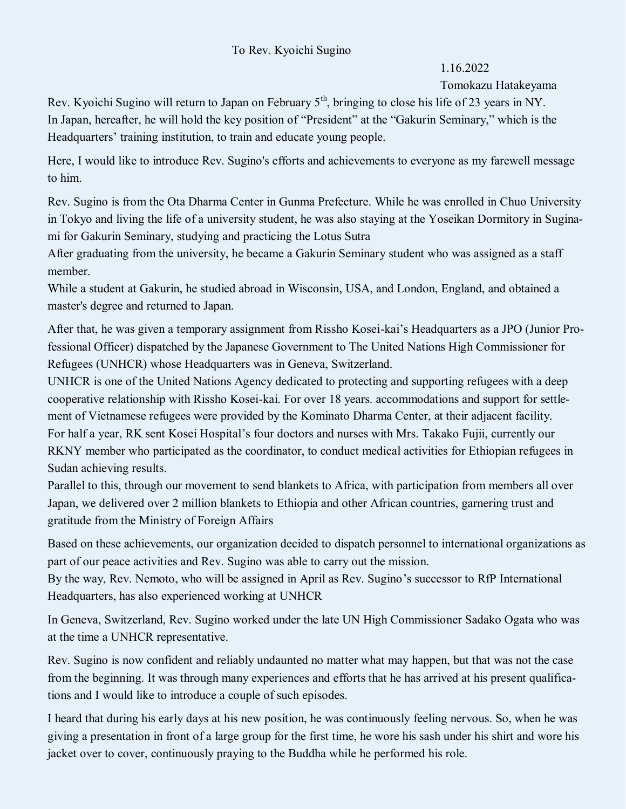## To Rev. Kyoichi Sugino

## 1.16.2022

## Tomokazu Hatakeyama

Rev. Kyoichi Sugino will return to Japan on February  $5<sup>th</sup>$ , bringing to close his life of 23 years in NY. In Japan, hereafter, he will hold the key position of "President" at the "Gakurin Seminary," which is the Headquarters' training institution, to train and educate young people.

Here, I would like to introduce Rev. Sugino's efforts and achievements to everyone as my farewell message to him.

Rev. Sugino is from the Ota Dharma Center in Gunma Prefecture. While he was enrolled in Chuo University in Tokyo and living the life of a university student, he was also staying at the Yoseikan Dormitory in Suginami for Gakurin Seminary, studying and practicing the Lotus Sutra

After graduating from the university, he became a Gakurin Seminary student who was assigned as a staff member.

While a student at Gakurin, he studied abroad in Wisconsin, USA, and London, England, and obtained a master's degree and returned to Japan.

After that, he was given a temporary assignment from Rissho Kosei-kai's Headquarters as a JPO (Junior Professional Officer) dispatched by the Japanese Government to The United Nations High Commissioner for Refugees (UNHCR) whose Headquarters was in Geneva, Switzerland.

UNHCR is one of the United Nations Agency dedicated to protecting and supporting refugees with a deep cooperative relationship with Rissho Kosei-kai. For over 18 years. accommodations and support for settlement of Vietnamese refugees were provided by the Kominato Dharma Center, at their adjacent facility. For half a year, RK sent Kosei Hospital's four doctors and nurses with Mrs. Takako Fujii, currently our RKNY member who participated as the coordinator, to conduct medical activities for Ethiopian refugees in Sudan achieving results.

Parallel to this, through our movement to send blankets to Africa, with participation from members all over Japan, we delivered over 2 million blankets to Ethiopia and other African countries, garnering trust and gratitude from the Ministry of Foreign Affairs

Based on these achievements, our organization decided to dispatch personnel to international organizations as part of our peace activities and Rev. Sugino was able to carry out the mission.

By the way, Rev. Nemoto, who will be assigned in April as Rev. Sugino's successor to RfP International Headquarters, has also experienced working at UNHCR

In Geneva, Switzerland, Rev. Sugino worked under the late UN High Commissioner Sadako Ogata who was at the time a UNHCR representative.

Rev. Sugino is now confident and reliably undaunted no matter what may happen, but that was not the case from the beginning. It was through many experiences and efforts that he has arrived at his present qualifications and I would like to introduce a couple of such episodes.

I heard that during his early days at his new position, he was continuously feeling nervous. So, when he was giving a presentation in front of a large group for the first time, he wore his sash under his shirt and wore his jacket over to cover, continuously praying to the Buddha while he performed his role.